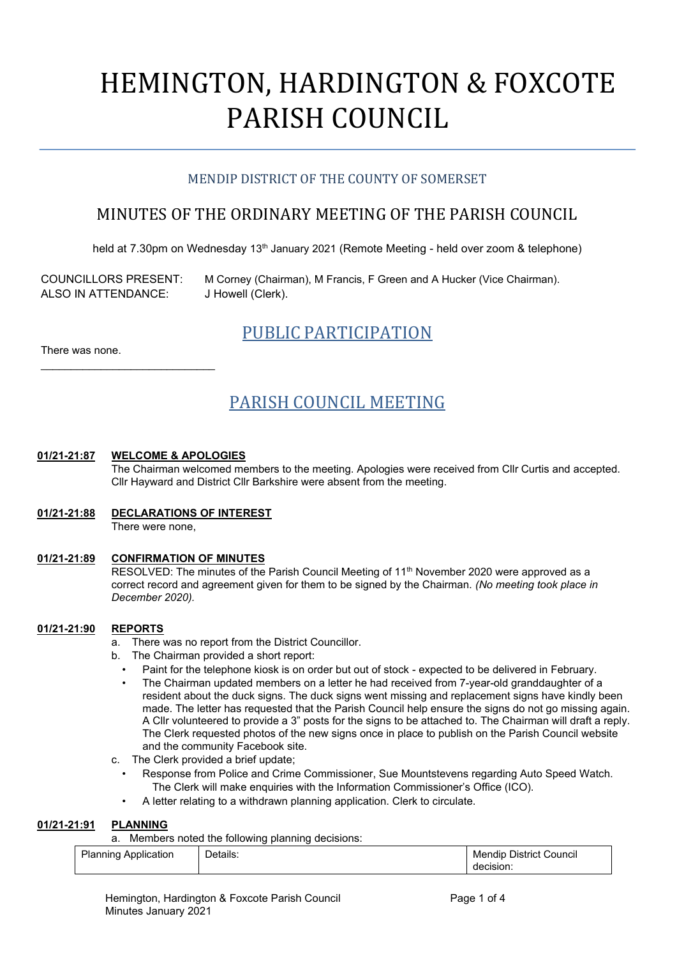# HEMINGTON, HARDINGTON & FOXCOTE PARISH COUNCIL

# MENDIP DISTRICT OF THE COUNTY OF SOMERSET

# MINUTES OF THE ORDINARY MEETING OF THE PARISH COUNCIL

held at 7.30pm on Wednesday 13<sup>th</sup> January 2021 (Remote Meeting - held over zoom & telephone)

ALSO IN ATTENDANCE: J Howell (Clerk).

\_\_\_\_\_\_\_\_\_\_\_\_\_\_\_\_\_\_\_\_\_\_\_\_\_\_\_\_\_

COUNCILLORS PRESENT: M Corney (Chairman), M Francis, F Green and A Hucker (Vice Chairman).

PUBLIC PARTICIPATION

There was none.

# PARISH COUNCIL MEETING

# **01/21-21:87 WELCOME & APOLOGIES**

The Chairman welcomed members to the meeting. Apologies were received from Cllr Curtis and accepted. Cllr Hayward and District Cllr Barkshire were absent from the meeting.

**01/21-21:88 DECLARATIONS OF INTEREST** There were none,

# **01/21-21:89 CONFIRMATION OF MINUTES**

RESOLVED: The minutes of the Parish Council Meeting of 11<sup>th</sup> November 2020 were approved as a correct record and agreement given for them to be signed by the Chairman. *(No meeting took place in December 2020).*

# **01/21-21:90 REPORTS**

- a. There was no report from the District Councillor.
- b. The Chairman provided a short report:
	- Paint for the telephone kiosk is on order but out of stock expected to be delivered in February.
	- The Chairman updated members on a letter he had received from 7-year-old granddaughter of a resident about the duck signs. The duck signs went missing and replacement signs have kindly been made. The letter has requested that the Parish Council help ensure the signs do not go missing again. A Cllr volunteered to provide a 3" posts for the signs to be attached to. The Chairman will draft a reply. The Clerk requested photos of the new signs once in place to publish on the Parish Council website and the community Facebook site.
- c. The Clerk provided a brief update;
	- Response from Police and Crime Commissioner, Sue Mountstevens regarding Auto Speed Watch. The Clerk will make enquiries with the Information Commissioner's Office (ICO).
	- A letter relating to a withdrawn planning application. Clerk to circulate.

# **01/21-21:91 PLANNING**

a. Members noted the following planning decisions:

| Planning<br>l Application. | Details: | <b>District</b><br>Mendip<br><b>Council</b> |
|----------------------------|----------|---------------------------------------------|
|                            |          | decision.                                   |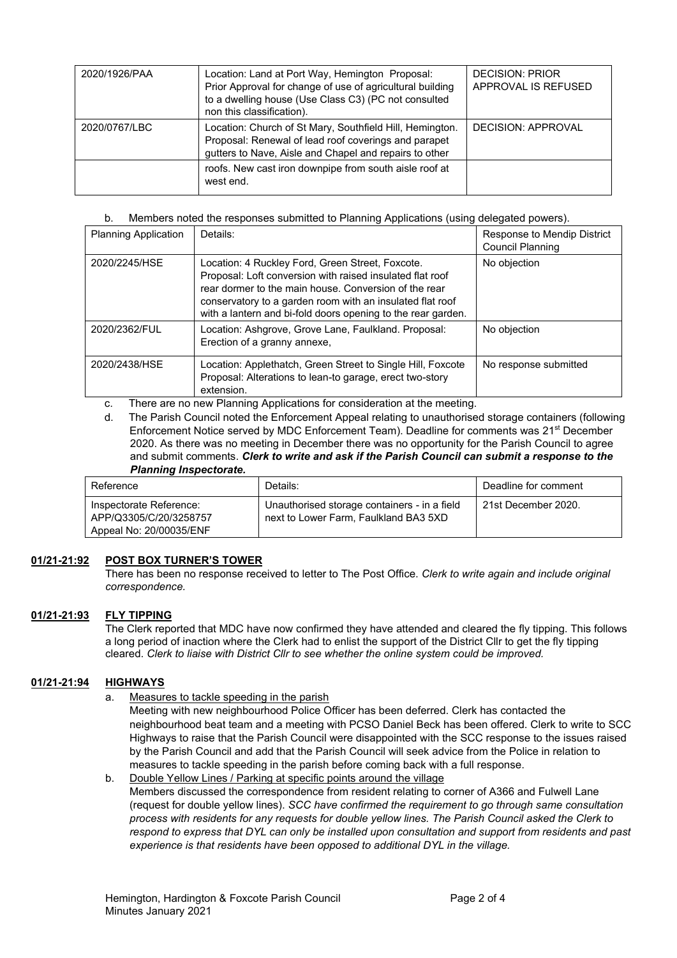| 2020/1926/PAA | Location: Land at Port Way, Hemington Proposal:<br>Prior Approval for change of use of agricultural building<br>to a dwelling house (Use Class C3) (PC not consulted<br>non this classification). | <b>DECISION: PRIOR</b><br>APPROVAL IS REFUSED |
|---------------|---------------------------------------------------------------------------------------------------------------------------------------------------------------------------------------------------|-----------------------------------------------|
| 2020/0767/LBC | Location: Church of St Mary, Southfield Hill, Hemington.<br>Proposal: Renewal of lead roof coverings and parapet<br>gutters to Nave, Aisle and Chapel and repairs to other                        | DECISION: APPROVAL                            |
|               | roofs. New cast iron downpipe from south aisle roof at<br>west end.                                                                                                                               |                                               |

### b. Members noted the responses submitted to Planning Applications (using delegated powers).

| <b>Planning Application</b> | Details:                                                                                                                                                                                                                                                                                            | Response to Mendip District<br>Council Planning |
|-----------------------------|-----------------------------------------------------------------------------------------------------------------------------------------------------------------------------------------------------------------------------------------------------------------------------------------------------|-------------------------------------------------|
| 2020/2245/HSE               | Location: 4 Ruckley Ford, Green Street, Foxcote.<br>Proposal: Loft conversion with raised insulated flat roof<br>rear dormer to the main house. Conversion of the rear<br>conservatory to a garden room with an insulated flat roof<br>with a lantern and bi-fold doors opening to the rear garden. | No objection                                    |
| 2020/2362/FUL               | Location: Ashgrove, Grove Lane, Faulkland. Proposal:<br>Erection of a granny annexe,                                                                                                                                                                                                                | No objection                                    |
| 2020/2438/HSE               | Location: Applethatch, Green Street to Single Hill, Foxcote<br>Proposal: Alterations to lean-to garage, erect two-story<br>extension.                                                                                                                                                               | No response submitted                           |

c. There are no new Planning Applications for consideration at the meeting.

d. The Parish Council noted the Enforcement Appeal relating to unauthorised storage containers (following Enforcement Notice served by MDC Enforcement Team). Deadline for comments was 21<sup>st</sup> December 2020. As there was no meeting in December there was no opportunity for the Parish Council to agree and submit comments. *Clerk to write and ask if the Parish Council can submit a response to the Planning Inspectorate.* 

| Reference                                                                    | Details:                                                                              | Deadline for comment |
|------------------------------------------------------------------------------|---------------------------------------------------------------------------------------|----------------------|
| Inspectorate Reference:<br>APP/Q3305/C/20/3258757<br>Appeal No: 20/00035/ENF | Unauthorised storage containers - in a field<br>next to Lower Farm. Faulkland BA3 5XD | 21st December 2020.  |

# **01/21-21:92 POST BOX TURNER'S TOWER**

There has been no response received to letter to The Post Office. *Clerk to write again and include original correspondence.* 

# **01/21-21:93 FLY TIPPING**

The Clerk reported that MDC have now confirmed they have attended and cleared the fly tipping. This follows a long period of inaction where the Clerk had to enlist the support of the District Cllr to get the fly tipping cleared. *Clerk to liaise with District Cllr to see whether the online system could be improved.* 

# **01/21-21:94 HIGHWAYS**

a. Measures to tackle speeding in the parish

Meeting with new neighbourhood Police Officer has been deferred. Clerk has contacted the neighbourhood beat team and a meeting with PCSO Daniel Beck has been offered. Clerk to write to SCC Highways to raise that the Parish Council were disappointed with the SCC response to the issues raised by the Parish Council and add that the Parish Council will seek advice from the Police in relation to measures to tackle speeding in the parish before coming back with a full response.

#### b. Double Yellow Lines / Parking at specific points around the village Members discussed the correspondence from resident relating to corner of A366 and Fulwell Lane (request for double yellow lines). *SCC have confirmed the requirement to go through same consultation process with residents for any requests for double yellow lines. The Parish Council asked the Clerk to respond to express that DYL can only be installed upon consultation and support from residents and past experience is that residents have been opposed to additional DYL in the village.*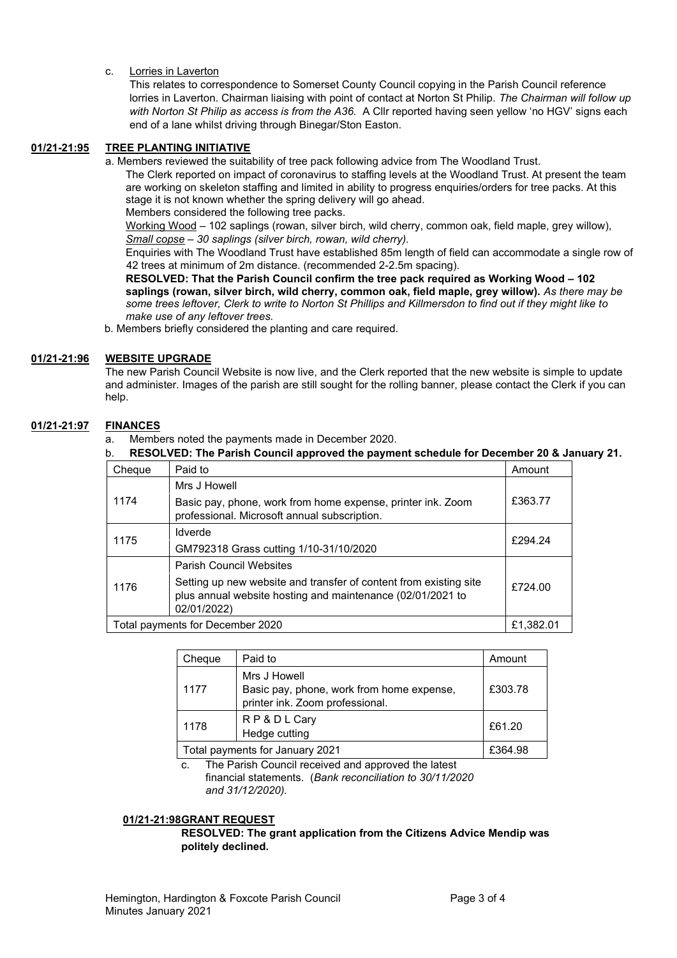c. Lorries in Laverton

This relates to correspondence to Somerset County Council copying in the Parish Council reference lorries in Laverton. Chairman liaising with point of contact at Norton St Philip. *The Chairman will follow up with Norton St Philip as access is from the A36.* A Cllr reported having seen yellow 'no HGV' signs each end of a lane whilst driving through Binegar/Ston Easton.

# **01/21-21:95 TREE PLANTING INITIATIVE**

a. Members reviewed the suitability of tree pack following advice from The Woodland Trust.

The Clerk reported on impact of coronavirus to staffing levels at the Woodland Trust. At present the team are working on skeleton staffing and limited in ability to progress enquiries/orders for tree packs. At this stage it is not known whether the spring delivery will go ahead. Members considered the following tree packs.

Working Wood – 102 saplings (rowan, silver birch, wild cherry, common oak, field maple, grey willow), *Small copse – 30 saplings (silver birch, rowan, wild cherry).* 

Enquiries with The Woodland Trust have established 85m length of field can accommodate a single row of 42 trees at minimum of 2m distance. (recommended 2-2.5m spacing).

**RESOLVED: That the Parish Council confirm the tree pack required as Working Wood – 102 saplings (rowan, silver birch, wild cherry, common oak, field maple, grey willow).** *As there may be some trees leftover, Clerk to write to Norton St Phillips and Killmersdon to find out if they might like to make use of any leftover trees.* 

b. Members briefly considered the planting and care required.

#### **01/21-21:96 WEBSITE UPGRADE**

The new Parish Council Website is now live, and the Clerk reported that the new website is simple to update and administer. Images of the parish are still sought for the rolling banner, please contact the Clerk if you can help.

# **01/21-21:97 FINANCES**

- a. Members noted the payments made in December 2020.
- b. **RESOLVED: The Parish Council approved the payment schedule for December 20 & January 21.**

| Cheque | Paid to                                                                                                                                        | Amount    |
|--------|------------------------------------------------------------------------------------------------------------------------------------------------|-----------|
|        | Mrs J Howell                                                                                                                                   |           |
| 1174   | Basic pay, phone, work from home expense, printer ink. Zoom<br>professional. Microsoft annual subscription.                                    | £363.77   |
| 1175   | <b>Idverde</b>                                                                                                                                 | £294.24   |
|        | GM792318 Grass cutting 1/10-31/10/2020                                                                                                         |           |
|        | <b>Parish Council Websites</b>                                                                                                                 |           |
| 1176   | Setting up new website and transfer of content from existing site<br>plus annual website hosting and maintenance (02/01/2021 to<br>02/01/2022) | £724.00   |
|        | Total payments for December 2020                                                                                                               | £1,382.01 |

| Cheque | Paid to                                                                                      | Amount  |
|--------|----------------------------------------------------------------------------------------------|---------|
| 1177   | Mrs J Howell<br>Basic pay, phone, work from home expense,<br>printer ink. Zoom professional. | £303.78 |
| 1178   | RP&DLCary<br>Hedge cutting                                                                   | £61.20  |
|        | Total payments for January 2021                                                              | £364.98 |

c. The Parish Council received and approved the latest financial statements. (*Bank reconciliation to 30/11/2020 and 31/12/2020).*

#### **01/21-21:98GRANT REQUEST**

**RESOLVED: The grant application from the Citizens Advice Mendip was politely declined.**